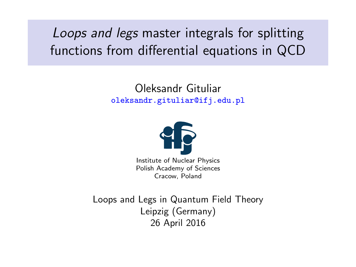<span id="page-0-0"></span>Loops and legs master integrals for splitting functions from differential equations in QCD

> Oleksandr Gituliar <oleksandr.gituliar@ifj.edu.pl>



Institute of Nuclear Physics Polish Academy of Sciences Cracow, Poland

Loops and Legs in Quantum Field Theory Leipzig (Germany) 26 April 2016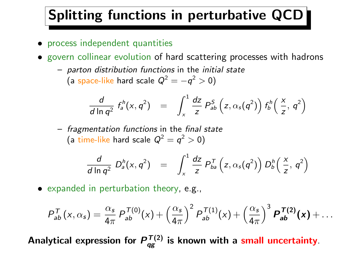#### Splitting functions in perturbative QCD

- process independent quantities
- govern collinear evolution of hard scattering processes with hadrons
	- parton distribution functions in the initial state (a space-like hard scale  $Q^2 = -q^2 > 0$ )

$$
\frac{d}{d \ln q^2} f_a^h(x,q^2) = \int_x^1 \frac{dz}{z} P_{ab}^S(z,\alpha_s(q^2)) f_b^h(\frac{x}{z},q^2)
$$

– fragmentation functions in the final state (a time-like hard scale  $Q^2 = q^2 > 0$ )

$$
\frac{d}{d \ln q^2} D_a^h(x,q^2) = \int_x^1 \frac{dz}{z} P_{ba}^T(z,\alpha_s(q^2)) D_b^h(\frac{x}{z},q^2)
$$

• expanded in perturbation theory, e.g.,

$$
P_{ab}^T(x,\alpha_s)=\frac{\alpha_s}{4\pi}P_{ab}^{T(0)}(x)+\left(\frac{\alpha_s}{4\pi}\right)^2P_{ab}^{T(1)}(x)+\left(\frac{\alpha_s}{4\pi}\right)^3P_{ab}^{T(2)}(x)+\ldots
$$

Analytical expression for  $P_{qg}^{T(2)}$  is known with a small uncertainty.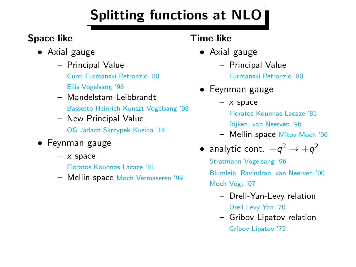## Splitting functions at NLO

#### Space-like

- Axial gauge
	- Principal Value [Curci Furmanski Petronzio '80](#page-0-0) [Ellis Vogelsang '98](#page-0-0)
	- Mandelstam-Leibbrandt [Bassetto Heinrich Kunszt Vogelsang '98](#page-0-0)
	- New Principal Value [OG Jadach Skrzypek Kusina '14](#page-0-0)
- Feynman gauge
	- $x$  space [Floratos Kounnas Lacaze '81](#page-0-0)
	- Mellin space [Moch Vermaseren '99](#page-0-0)

#### Time-like

- Axial gauge
	- Principal Value

[Furmanski Petronzio '80](#page-0-0)

- Feynman gauge
	- $x$  space [Floratos Kounnas Lacaze '81](#page-0-0) [Rijken, van Neerven '96](#page-0-0) – Mellin space [Mitov Moch '06](#page-0-0)
- analytic cont.  $-q^2 \rightarrow +q^2$ [Stratmann Vogelsang '96](#page-0-0) [Blumlein, Ravindran, van Neerven '00](#page-0-0) [Moch Vogt '07](#page-0-0)
	- Drell-Yan-Levy relation [Drell Levy Yan '70](#page-0-0)
	- Gribov-Lipatov relation [Gribov Lipatov '72](#page-0-0)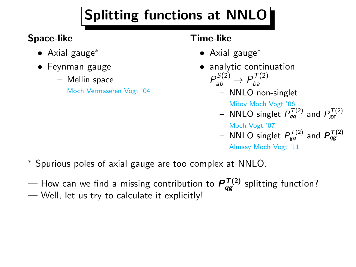## Splitting functions at NNLO

#### Space-like

- Axial gauge<sup>∗</sup>
- Feynman gauge
	- Mellin space

[Moch Vermaseren Vogt '04](#page-0-0)

#### Time-like

- Axial gauge<sup>∗</sup>
- analytic continuation  $P_{ab}^{S(2)} \rightarrow P_{ba}^{T(2)}$ ba
	- NNLO non-singlet

[Mitov Moch Vogt '06](#page-0-0) – NNLO singlet  $P_{qq}^{T(2)}$  and  $P_{gg}^{T(2)}$ 

[Moch Vogt '07](#page-0-0)

– NNLO singlet  $P_{\textit{gq}}^{ \mathcal{T}(2)}$  and  $\textit{P}_{\textit{qg}}^{ \mathcal{T}(2)}$ 

[Almasy Moch Vogt '11](#page-0-0)

- <sup>∗</sup> Spurious poles of axial gauge are too complex at NNLO.
- How can we find a missing contribution to  $P_{qg}^{T(2)}$  splitting function?
- Well, let us try to calculate it explicitly!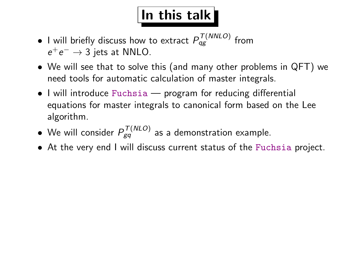## $\vert$ In this talk $\vert$

- $\bullet$  I will briefly discuss how to extract  $P_{qg}^{T(\textit{NNLO})}$  from  $e^+e^- \rightarrow 3$  jets at NNLO.
- We will see that to solve this (and many other problems in QFT) we need tools for automatic calculation of master integrals.
- I will introduce Fuchsia program for reducing differential equations for master integrals to canonical form based on the Lee algorithm.
- $\bullet$  We will consider  $P_{gq}^{T(NLO)}$  as a demonstration example.
- At the very end I will discuss current status of the Fuchsia project.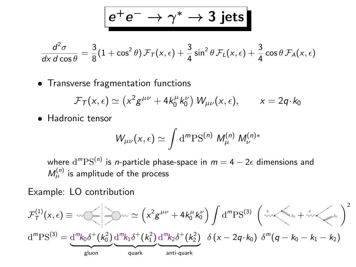$$
e^+e^-\to\gamma^*\to3\;\hbox{jets}
$$

$$
\frac{d^2\sigma}{dx\,d\cos\theta} = \frac{3}{8}(1+\cos^2\theta)\,\mathcal{F}_T(x,\epsilon) + \frac{3}{4}\sin^2\theta\,\mathcal{F}_L(x,\epsilon) + \frac{3}{4}\cos\theta\,\mathcal{F}_A(x,\epsilon)
$$

• Transverse fragmentation functions

$$
\mathcal{F}_T(x,\epsilon) \simeq (x^2 g^{\mu\nu} + 4k_0^{\mu} k_0^{\nu}) W_{\mu\nu}(x,\epsilon), \qquad x = 2q \cdot k_0
$$

• Hadronic tensor

$$
W_{\mu\nu}(x,\epsilon) \simeq \int \mathrm{d}^m \mathrm{PS}^{(n)} \ M^{(n)}_\mu \ M^{(n)*}_\nu
$$

where  $\mathrm{d}^m\mathrm{PS}^{(n)}$  is *n*-particle phase-space in  $m=4-2\epsilon$  dimensions and  $M_\mu^{(n)}$  is amplitude of the process

Example: LO contribution

$$
\mathcal{F}_{T}^{(1)}(x,\epsilon) \equiv \sqrt{2\pi} \left(\sqrt{x^{2}g^{\mu\nu} + 4k_{0}^{\mu}k_{0}^{\nu}}\right)\int d^{m}PS^{(3)}\left(\sqrt{x^{2}g^{\mu} + 4k_{0}^{\mu}k_{0}^{\nu}}\right)^{2}
$$

$$
d^{m}PS^{(3)} = \underbrace{d^{m}k_{0}\delta^{+}(k_{0}^{2})}_{\text{gluon}}\underbrace{d^{m}k_{1}\delta^{+}(k_{1}^{2})}_{\text{quark}}\underbrace{d^{m}k_{2}\delta^{+}(k_{2}^{2})}_{\text{anti-quark}}\delta\left(x - 2q \cdot k_{0}\right)\delta^{m}(q - k_{0} - k_{1} - k_{2})
$$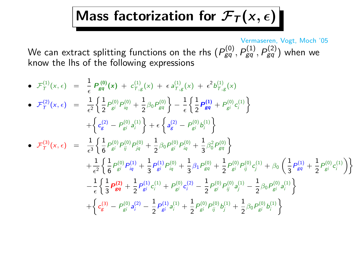### Mass factorization for  $\mathcal{F}_\mathcal{T}(x,\epsilon)$

[Vermaseren, Vogt, Moch '05](#page-0-0) We can extract splitting functions on the rhs  $(P_{gq}^{(0)},P_{gq}^{(1)},P_{gq}^{(2)})$  when we know the lhs of the following expressions

• 
$$
\mathcal{F}_{T}^{(1)}(x, \epsilon) = \frac{1}{\epsilon} P_{gq}^{(0)}(x) + c_{T,g}^{(1)}(x) + \epsilon a_{T,g}^{(1)}(x) + \epsilon^{2} b_{T,g}^{(1)}(x)
$$
  
\n•  $\mathcal{F}_{T}^{(2)}(x, \epsilon) = \frac{1}{\epsilon^{2}} \left\{ \frac{1}{2} P_{gi}^{(0)} P_{iq}^{(0)} + \frac{1}{2} \beta_{0} P_{gq}^{(0)} \right\} - \frac{1}{\epsilon} \left\{ \frac{1}{2} P_{gq}^{(1)} + P_{gi}^{(0)} c_{i}^{(1)} \right\}$   
\n•  $\mathcal{F}_{T}^{(3)}(x, \epsilon) = \frac{1}{\epsilon^{3}} \left\{ \frac{1}{6} P_{gi}^{(0)} P_{ij}^{(0)} + \frac{1}{2} \beta_{0} P_{gi}^{(0)} P_{iq}^{(0)} + \frac{1}{3} \beta_{0}^{2} P_{gq}^{(0)} \right\}$   
\n•  $\mathcal{F}_{T}^{(3)}(x, \epsilon) = \frac{1}{\epsilon^{3}} \left\{ \frac{1}{6} P_{gi}^{(0)} P_{ij}^{(0)} + \frac{1}{2} \beta_{0} P_{gi}^{(0)} P_{iq}^{(0)} + \frac{1}{3} \beta_{0}^{2} P_{gq}^{(0)} \right\}$   
\n $+ \frac{1}{\epsilon^{2}} \left\{ \frac{1}{6} P_{gi}^{(0)} P_{iq}^{(1)} + \frac{1}{3} P_{gi}^{(1)} P_{iq}^{(0)} + \frac{1}{3} \beta_{1} P_{gq}^{(0)} + \frac{1}{2} P_{gi}^{(0)} P_{ij}^{(0)} c_{j}^{(1)} + \beta_{0} \left( \frac{1}{3} P_{gq}^{(1)} + \frac{1}{2} P_{gi}^{(0)} c_{i}^{(1)} \right) \right\}$   
\n $- \frac{1}{\epsilon} \left\{ \frac{1}{3} P_{gq}^{(2)} + \frac{1}{2} P_{gi}^{(1)} c_{i}^{(1)} + P_{gi}^{(0)} c_{i}^{(2)} - \frac{1}{2} P_{gi}^{(0)} P_{ij}^{(0)} a_{j}^{(1)} - \frac{1$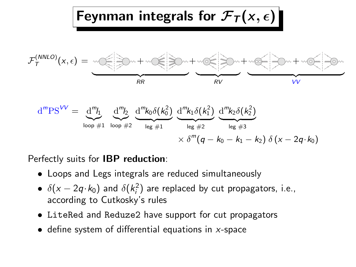

Perfectly suits for IBP reduction:

- Loops and Legs integrals are reduced simultaneously
- $\bullet$   $\delta(x-2q\cdot k_0)$  and  $\delta(k_i^2)$  are replaced by cut propagators, i.e., according to Cutkosky's rules
- LiteRed and Reduze2 have support for cut propagators
- $\bullet$  define system of differential equations in x-space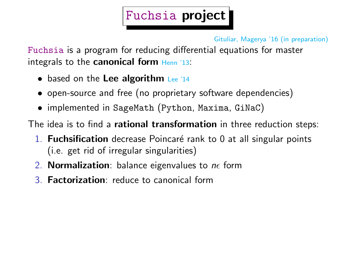### Fuchsia project

[Gituliar, Magerya '16 \(in preparation\)](#page-0-0)

Fuchsia is a program for reducing differential equations for master integrals to the **canonical form**  $Henn$   $13$ :

- based on the Lee algorithm Lee  $14$
- open-source and free (no proprietary software dependencies)
- implemented in SageMath (Python, Maxima, GiNaC)

The idea is to find a rational transformation in three reduction steps:

- 1. Fuchsification decrease Poincaré rank to 0 at all singular points (i.e. get rid of irregular singularities)
- 2. **Normalization**: balance eigenvalues to  $n \epsilon$  form
- 3. Factorization: reduce to canonical form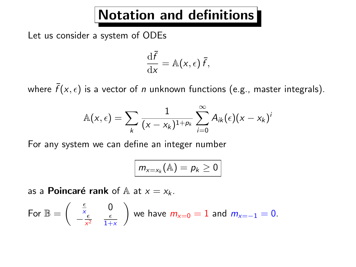#### Notation and definitions

Let us consider a system of ODEs

$$
\frac{\mathrm{d}\bar{f}}{\mathrm{d}x} = \mathbb{A}(x,\epsilon)\,\bar{f},
$$

where  $\bar{f} (x, \epsilon)$  is a vector of  $n$  unknown functions (e.g., master integrals).

$$
\mathbb{A}(x,\epsilon)=\sum_{k}\frac{1}{(x-x_k)^{1+p_k}}\sum_{i=0}^{\infty}A_{ik}(\epsilon)(x-x_k)^i
$$

For any system we can define an integer number

$$
m_{x=x_k}(\mathbb{A})=p_k\geq 0
$$

as a **Poincaré rank** of  $\mathbb{A}$  at  $x = x_k$ .

For 
$$
\mathbb{B} = \begin{pmatrix} \frac{\epsilon}{x} & 0 \\ -\frac{\epsilon}{x^2} & \frac{\epsilon}{1+x} \end{pmatrix}
$$
 we have  $m_{x=0} = 1$  and  $m_{x=-1} = 0$ .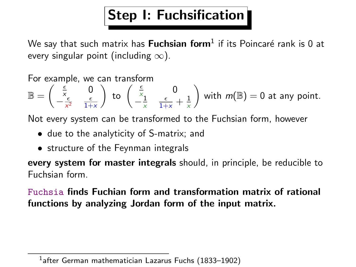### Step I: Fuchsification

We say that such matrix has  $\sf{Fuchsian}$  form $^1$  if its Poincaré rank is 0 at every singular point (including  $\infty$ ).

For example, we can transform  $\mathbb{B} = \left( \begin{array}{cc} \frac{\epsilon}{x} & 0 \\ 0 & \epsilon \end{array} \right)$  $-\frac{\epsilon}{x^2}$   $\frac{\epsilon}{1+x}$ ) to  $\begin{pmatrix} \frac{\epsilon}{x} & 0 \\ 0 & 0 \end{pmatrix}$  $-\frac{1}{x}$   $\frac{\epsilon}{1+x}$  +  $\frac{1}{x}$ with  $m(\mathbb{B})=0$  at any point.

Not every system can be transformed to the Fuchsian form, however

- due to the analyticity of S-matrix; and
- structure of the Feynman integrals

every system for master integrals should, in principle, be reducible to Fuchsian form.

Fuchsia finds Fuchian form and transformation matrix of rational functions by analyzing Jordan form of the input matrix.

<sup>&</sup>lt;sup>1</sup>after German mathematician Lazarus Fuchs (1833-1902)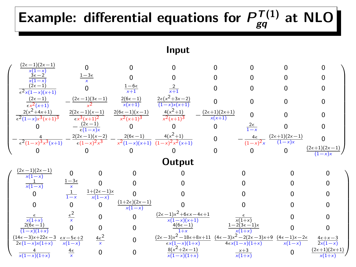#### Example: differential equations for  $P_{gq}^{T(1)}$  at NLO Input  $\sqrt{2}$   $(2\epsilon-1)(2x-1)$  $x(1-x)$ 0 0 0 0 0 0 0  $3\epsilon-2$  $x(1-x)$  $1-3\epsilon$ x 0 0 0 0 0 0  $(2\epsilon-1)$  $\epsilon^2 x(1-x)(x+1)$  $rac{1-6}{x+1}$ 2  $\frac{2}{x+1}$  0 0 0 0  $(2e-1)$  $\frac{(2e-1)}{ex^2(x+1)}$  –  $(2\epsilon-1)(3\epsilon-1)$ x 2  $\frac{2(6\epsilon-1)}{x(x+1)}$  $2\epsilon(x^2+3x-2)$  $\frac{2\epsilon(x + 3x - 2)}{(1-x)x(x+1)}$  0 0 0 0  $2(x^2+4x+1)$  $\epsilon^2(1-x)x^3(x+1)^3$  $2(2\epsilon-1)(x-1)$  $\epsilon x^3(x+1)^2$  $2(6\epsilon-1)(x-1)$  $x^2(x+1)^3$  $4(x^2+1)$  $rac{4(x+1)}{x^2(x+1)^3}$  –  $(2e+1)(2x+1)$  $\frac{x+1)(2x+1)}{x(x+1)}$  0 0 0 0  $-\frac{(2\epsilon-1)}{\epsilon(1-x)x}$ 0 0 0  $\frac{2\epsilon}{1-\epsilon}$  $\frac{2\epsilon}{1-\epsilon}$ 0 0  $-\frac{4}{\epsilon^2(1-x)^3x^3(x+1)}$  –  $\frac{2(2\epsilon-1)(x-2)}{\epsilon(1-x)^2x^3}$  –  $\epsilon(1-x)^2x$  $2(6\epsilon-1)$  $\sqrt{x^2(1-x)(x+1)}$   $\sqrt{(1-x)^2x}$  $4(x^2+1)$  $rac{1}{2(x+1)}$  0  $-\frac{4\epsilon}{(1-x)}$  $\frac{1}{(1-x)^2}$  $(2e+1)(2x-1)$  $(1-x)x$  $\Omega$ 0 0 0 0 0 0  $\frac{(2e+1)(2x-1)}{(1-x)x}$  $(1-x)x$ <sup>1</sup> **Output**  $\sqrt{2}$   $(2e-1)(2x-1)$  $x(1-x)$ 0 0 0 0 0 0 0  $\frac{1}{x(1-x)}$  $\frac{1-3\varepsilon}{x}$   $\frac{1}{1-x}$ 0 0 0 0 0 0  $\Omega$  $1+(2\epsilon-1)x$  $x(1-x)$ 0 0 0 0 0 0 0  $\frac{(1+2\epsilon)(2x-1)}{x(1-x)}$ 0 0 0 0  $\frac{\epsilon}{x(1+x)}$  $\frac{\epsilon^2}{x}$ 0  $\frac{(2\epsilon-1)x^2+6\epsilon x-4\epsilon+1}{x(1-x)(x+1)}$  $\frac{x(1-x)(x+1)}{4(6\varepsilon-1)}$  $\frac{\epsilon}{x(1+x)}$ 0 0  $2(6\epsilon-1)$  $\overline{(1-x)(1+x)}$ 0 0  $\frac{4(6e-1)}{1+1}$  $1+x$  $-2(3\epsilon-1)x$  $x(1+x)$ 0 0  $(14\epsilon-3)x+22\epsilon-3$   $\epsilon x-5\epsilon+2$  $2\epsilon(1-x)x(1+x)$  $x(1-x)$  $\frac{4\epsilon^2}{x}$  $\Omega$  $(2\epsilon-3)x^2-18\epsilon+8x+11$   $(4\epsilon-3)x^2-2(2\epsilon-3)x+9$   $(4\epsilon-1)x-2\epsilon$  $\frac{1}{x(1-x)(1+x)}$  $4\epsilon x(1-x)(1+x)$  $x(1-x)$  $4e+x-3$  $\sqrt{2x(1-x)}$ 4  $x(1-x)(1+x)$  $\frac{4\epsilon}{x}$ 0 0  $\frac{8(x)}{x(1)}$  $8(x^2+2x-1)$  $x(1-x)(1+x)$ x+3  $x(1+x)$  $\Omega$  $(2\epsilon+1)(2x+1)$  $x(1+x)$ A.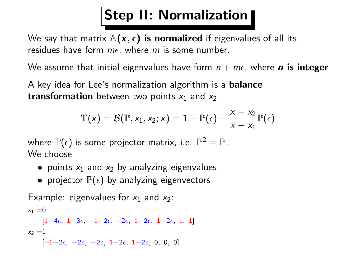### Step II: Normalization

We say that matrix  $\mathbb{A}(x, \epsilon)$  is normalized if eigenvalues of all its residues have form  $m\epsilon$ , where m is some number.

We assume that initial eigenvalues have form  $n + m\epsilon$ , where **n** is integer

A key idea for Lee's normalization algorithm is a balance **transformation** between two points  $x_1$  and  $x_2$ 

$$
\mathbb{T}(x) = \mathcal{B}(\mathbb{P}, x_1, x_2; x) = 1 - \mathbb{P}(\epsilon) + \frac{x - x_2}{x - x_1} \mathbb{P}(\epsilon)
$$

where  $\mathbb{P}(\epsilon)$  is some projector matrix, i.e.  $\mathbb{P}^2=\mathbb{P}.$ We choose

- points  $x_1$  and  $x_2$  by analyzing eigenvalues
- projector  $\mathbb{P}(\epsilon)$  by analyzing eigenvectors

Example: eigenvalues for  $x_1$  and  $x_2$ :

 $x_1 = 0$ :

 $[1-4\epsilon, 1-3\epsilon, -1-2\epsilon, -2\epsilon, 1-2\epsilon, 1-2\epsilon, 1, 1]$  $x_2 = 1$ :

 $[-1-2\epsilon, -2\epsilon, -2\epsilon, 1-2\epsilon, 1-2\epsilon, 0, 0, 0]$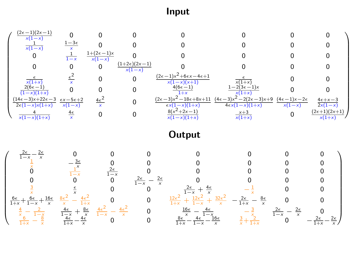Input

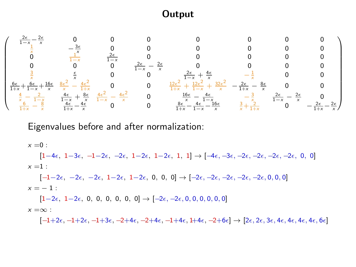#### **Output**

 $\sqrt{2}$  $\begin{array}{c} \hline \end{array}$  $\frac{2\epsilon}{2\epsilon}$  $rac{2\epsilon}{1-x} - \frac{2\epsilon}{x}$ x 0 0 0 0 0 0 0  $\frac{1}{\frac{x}{1-x}}$   $\frac{3\epsilon}{1-x}$  $\begin{matrix} 0 & 0 \\ 0 & 0 \\ 0 & 0 \end{matrix}$ 0  $\frac{1}{1-x}$   $\frac{2\epsilon}{1-x}$  0 0 0 0 0  $\frac{0}{\frac{2\epsilon}{1-x}}$ 0 0 0  $\frac{2\epsilon}{1-x} - \frac{2\epsilon}{x}$  0 0 0 0<br>  $\frac{2}{1-x} + \frac{4\epsilon}{x}$   $-\frac{1}{x}$  0 0  $6\epsilon$  $\frac{6\epsilon}{1+x} + \frac{6\epsilon}{1-x} + \frac{16\epsilon}{x}$   $\frac{8\epsilon^2}{x} - \frac{4\epsilon^2}{1+x}$  0 0  $\frac{12\epsilon^2}{1+x} + \frac{12\epsilon^2}{1-x} + \frac{32\epsilon^2}{x} - \frac{2\epsilon}{1+x} - \frac{8\epsilon}{x}$  0 0  $\frac{4}{x} - \frac{1}{1-x}$   $\frac{4\epsilon}{1-x} + \frac{8\epsilon}{x}$   $\frac{4\epsilon^2}{1-x} - \frac{4\epsilon^2}{x}$  0  $\frac{16\epsilon}{x} - \frac{4\epsilon}{1-x}$   $-\frac{3}{x}$   $\frac{2\epsilon}{1-x} - \frac{2\epsilon}{x}$  0<br>  $\frac{6\epsilon}{1+x} - \frac{4\epsilon}{1-x}$   $-\frac{3\epsilon}{x}$   $\frac{2\epsilon}{1-x} - \frac{2\epsilon}{x}$  0  $\setminus$ 

Eigenvalues before and after normalization:

 $x = 0$ :

 $[1-4\epsilon, 1-3\epsilon, -1-2\epsilon, -2\epsilon, 1-2\epsilon, 1-2\epsilon, 1, 1] \rightarrow [-4\epsilon, -3\epsilon, -2\epsilon, -2\epsilon, -2\epsilon, -2\epsilon, 0, 0]$  $x = 1$ :

 $[-1-2\epsilon, -2\epsilon, -2\epsilon, 1-2\epsilon, 1-2\epsilon, 0, 0, 0] \rightarrow [-2\epsilon, -2\epsilon, -2\epsilon, -2\epsilon, -2\epsilon, 0, 0, 0]$  $x = -1$  :

 $[1-2\epsilon, 1-2\epsilon, 0, 0, 0, 0, 0, 0] \rightarrow [-2\epsilon, -2\epsilon, 0, 0, 0, 0, 0, 0]$  $x = \infty$ :

 $[-1+2\epsilon, -1+2\epsilon, -1+3\epsilon, -2+4\epsilon, -2+4\epsilon, -1+4\epsilon, 1+4\epsilon, -2+6\epsilon] \rightarrow [2\epsilon, 2\epsilon, 3\epsilon, 4\epsilon, 4\epsilon, 4\epsilon, 4\epsilon, 6\epsilon]$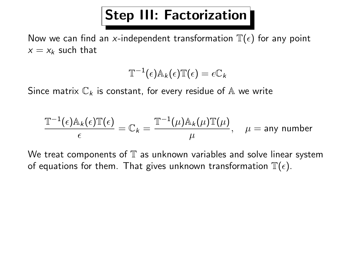#### Step III: Factorization

Now we can find an x-independent transformation  $\mathbb{T}(\epsilon)$  for any point  $x = x_k$  such that

$$
\mathbb{T}^{-1}(\epsilon)\mathbb{A}_{k}(\epsilon)\mathbb{T}(\epsilon)=\epsilon\mathbb{C}_{k}
$$

Since matrix  $\mathbb{C}_k$  is constant, for every residue of A we write

$$
\frac{\mathbb{T}^{-1}(\epsilon) \mathbb{A}_{k}(\epsilon) \mathbb{T}(\epsilon)}{\epsilon} = \mathbb{C}_{k} = \frac{\mathbb{T}^{-1}(\mu) \mathbb{A}_{k}(\mu) \mathbb{T}(\mu)}{\mu}, \quad \mu = \text{any number}
$$

We treat components of  $\mathbb T$  as unknown variables and solve linear system of equations for them. That gives unknown transformation  $\mathbb{T}(\epsilon)$ .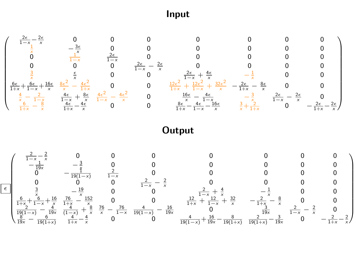#### Input



#### **Output**